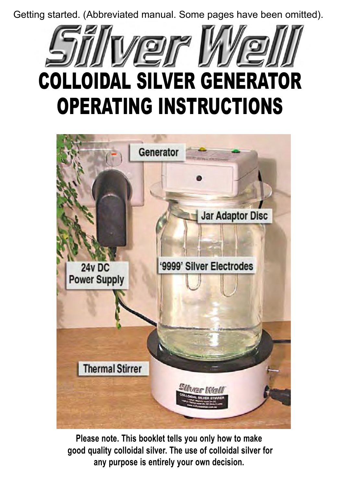Getting started. (Abbreviated manual. Some pages have been omitted).





**Please note. This booklet tells you only how to make good quality colloidal silver. The use of colloidal silver for any purpose is entirely your own decision.**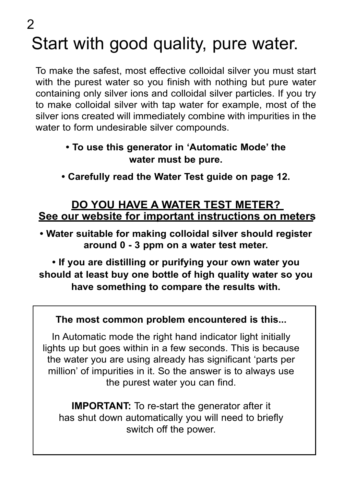Start with good quality, pure water.  $\mathcal{P}$ 

To make the safest, most effective colloidal silver you must start with the purest water so you finish with nothing but pure water containing only silver ions and colloidal silver particles. If you try to make colloidal silver with tap water for example, most of the silver ions created will immediately combine with impurities in the water to form undesirable silver compounds.

### **• To use this generator in 'Automatic Mode' the water must be pure.**

**• Carefully read the Water Test guide on page 12.**

### **DO YOU HAVE A WATER TEST METER? See our website for important instructions on meters**

**• Water suitable for making colloidal silver should register around 0 - 3 ppm on a water test meter.** 

**• If you are distilling or purifying your own water you should at least buy one bottle of high quality water so you have something to compare the results with.**

### **The most common problem encountered is this...**

In Automatic mode the right hand indicator light initially lights up but goes within in a few seconds. This is because the water you are using already has significant 'parts per million' of impurities in it. So the answer is to always use the purest water you can find.

**IMPORTANT:** To re-start the generator after it has shut down automatically you will need to briefly switch off the power.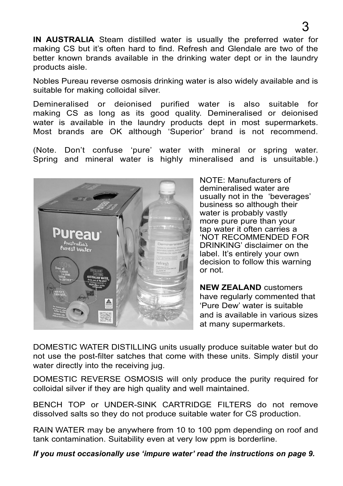**IN AUSTRALIA** Steam distilled water is usually the preferred water for making CS but it's often hard to find. Refresh and Glendale are two of the better known brands available in the drinking water dept or in the laundry products aisle.

Nobles Pureau reverse osmosis drinking water is also widely available and is suitable for making colloidal silver.

Demineralised or deionised purified water is also suitable for making CS as long as its good quality. Demineralised or deionised water is available in the laundry products dept in most supermarkets. Most brands are OK although 'Superior' brand is not recommend.

(Note. Don't confuse 'pure' water with mineral or spring water. Spring and mineral water is highly mineralised and is unsuitable.)



NOTE: Manufacturers of demineralised water are usually not in the 'beverages' business so although their water is probably vastly more pure pure than your tap water it often carries a 'NOT RECOMMENDED FOR DRINKING' disclaimer on the label. It's entirely your own decision to follow this warning or not.

**NEW ZEALAND** customers have regularly commented that 'Pure Dew' water is suitable and is available in various sizes at many supermarkets.

DOMESTIC WATER DISTILLING units usually produce suitable water but do not use the post-filter satches that come with these units. Simply distil your water directly into the receiving jug.

DOMESTIC REVERSE OSMOSIS will only produce the purity required for colloidal silver if they are high quality and well maintained.

BENCH TOP or UNDER-SINK CARTRIDGE FILTERS do not remove dissolved salts so they do not produce suitable water for CS production.

RAIN WATER may be anywhere from 10 to 100 ppm depending on roof and tank contamination. Suitability even at very low ppm is borderline.

*If you must occasionally use 'impure water' read the instructions on page 9.*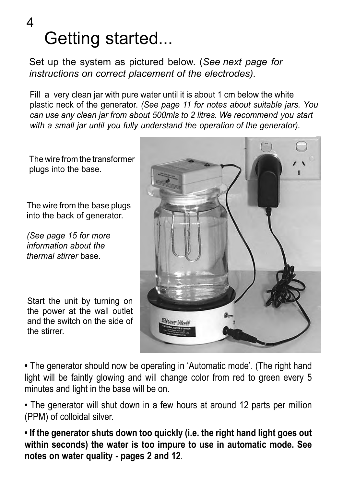### Getting started... 4

Set up the system as pictured below. (*See next page for instructions on correct placement of the electrodes).*

Fill a very clean jar with pure water until it is about 1 cm below the white plastic neck of the generator. *(See page 11 for notes about suitable jars. You can use any clean jar from about 500mls to 2 litres. We recommend you start with a small jar until you fully understand the operation of the generator).*

The wire from the transformer plugs into the base.

The wire from the base plugs into the back of generator.

*(See page 15 for more information about the thermal stirrer* base.

Start the unit by turning on the power at the wall outlet and the switch on the side of the stirrer.



**•** The generator should now be operating in 'Automatic mode'. (The right hand light will be faintly glowing and will change color from red to green every 5 minutes and light in the base will be on.

• The generator will shut down in a few hours at around 12 parts per million (PPM) of colloidal silver.

**• If the generator shuts down too quickly (i.e. the right hand light goes out within seconds) the water is too impure to use in automatic mode. See notes on water quality - pages 2 and 12**.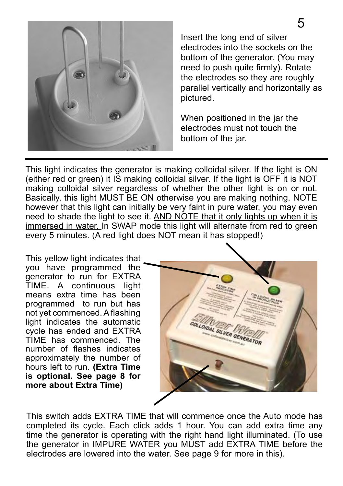

Insert the long end of silver electrodes into the sockets on the bottom of the generator. (You may need to push quite firmly). Rotate the electrodes so they are roughly parallel vertically and horizontally as pictured.

When positioned in the jar the electrodes must not touch the bottom of the jar.

This light indicates the generator is making colloidal silver. If the light is ON (either red or green) it IS making colloidal silver. If the light is OFF it is NOT making colloidal silver regardless of whether the other light is on or not. Basically, this light MUST BE ON otherwise you are making nothing. NOTE however that this light can initially be very faint in pure water, you may even need to shade the light to see it. AND NOTE that it only lights up when it is immersed in water. In SWAP mode this light will alternate from red to green every 5 minutes. (A red light does NOT mean it has stopped!)

This yellow light indicates that you have programmed the generator to run for EXTRA TIME. A continuous light means extra time has been programmed to run but has not yet commenced. A flashing light indicates the automatic cycle has ended and EXTRA TIME has commenced. The number of flashes indicates approximately the number of hours left to run. **(Extra Time is optional. See page 8 for more about Extra Time)**



This switch adds EXTRA TIME that will commence once the Auto mode has completed its cycle. Each click adds 1 hour. You can add extra time any time the generator is operating with the right hand light illuminated. (To use the generator in IMPURE WATER you MUST add EXTRA TIME before the electrodes are lowered into the water. See page 9 for more in this).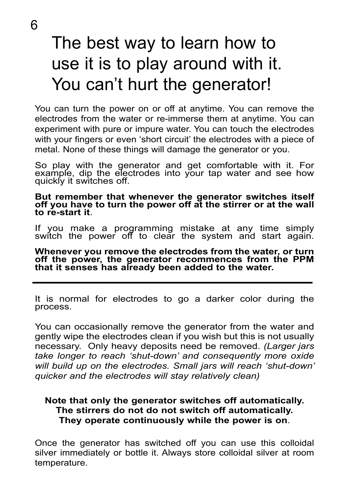# The best way to learn how to use it is to play around with it. You can't hurt the generator!

You can turn the power on or off at anytime. You can remove the electrodes from the water or re-immerse them at anytime. You can experiment with pure or impure water. You can touch the electrodes with your fingers or even 'short circuit' the electrodes with a piece of metal. None of these things will damage the generator or you.

So play with the generator and get comfortable with it. For example, dip the electrodes into your tap water and see how quickly it switches off.

**But remember that whenever the generator switches itself off you have to turn the power off at the stirrer or at the wall to re-start it**.

If you make a programming mistake at any time simply switch the power off to clear the system and start again.

**Whenever you remove the electrodes from the water, or turn off the power, the generator recommences from the PPM that it senses has already been added to the water.**

It is normal for electrodes to go a darker color during the process.

You can occasionally remove the generator from the water and gently wipe the electrodes clean if you wish but this is not usually necessary. Only heavy deposits need be removed. *(Larger jars take longer to reach 'shut-down' and consequently more oxide will build up on the electrodes. Small jars will reach 'shut-down' quicker and the electrodes will stay relatively clean)* 

### **Note that only the generator switches off automatically. The stirrers do not do not switch off automatically. They operate continuously while the power is on**.

Once the generator has switched off you can use this colloidal silver immediately or bottle it. Always store colloidal silver at room temperature.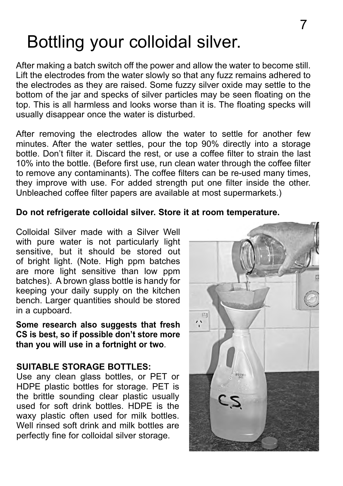# Bottling your colloidal silver.

After making a batch switch off the power and allow the water to become still. Lift the electrodes from the water slowly so that any fuzz remains adhered to the electrodes as they are raised. Some fuzzy silver oxide may settle to the bottom of the jar and specks of silver particles may be seen floating on the top. This is all harmless and looks worse than it is. The floating specks will usually disappear once the water is disturbed.

After removing the electrodes allow the water to settle for another few minutes. After the water settles, pour the top 90% directly into a storage bottle. Don't filter it. Discard the rest, or use a coffee filter to strain the last 10% into the bottle. (Before first use, run clean water through the coffee filter to remove any contaminants). The coffee filters can be re-used many times, they improve with use. For added strength put one filter inside the other. Unbleached coffee filter papers are available at most supermarkets.)

### **Do not refrigerate colloidal silver. Store it at room temperature.**

Colloidal Silver made with a Silver Well with pure water is not particularly light sensitive, but it should be stored out of bright light. (Note. High ppm batches are more light sensitive than low ppm batches). A brown glass bottle is handy for keeping your daily supply on the kitchen bench. Larger quantities should be stored in a cupboard.

**Some research also suggests that fresh CS is best, so if possible don't store more than you will use in a fortnight or two**.

### **SUITABLE STORAGE BOTTLES:**

Use any clean glass bottles, or PET or HDPE plastic bottles for storage. PET is the brittle sounding clear plastic usually used for soft drink bottles. HDPE is the waxy plastic often used for milk bottles. Well rinsed soft drink and milk bottles are perfectly fine for colloidal silver storage.

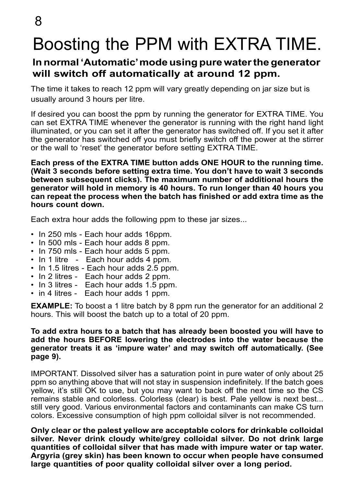# Boosting the PPM with EXTRA TIME.

### **In normal 'Automatic' mode using pure water the generator will switch off automatically at around 12 ppm.**

The time it takes to reach 12 ppm will vary greatly depending on jar size but is usually around 3 hours per litre.

If desired you can boost the ppm by running the generator for EXTRA TIME. You can set EXTRA TIME whenever the generator is running with the right hand light illuminated, or you can set it after the generator has switched off. If you set it after the generator has switched off you must briefly switch off the power at the stirrer or the wall to 'reset' the generator before setting EXTRA TIME.

**Each press of the EXTRA TIME button adds ONE HOUR to the running time. (Wait 3 seconds before setting extra time. You don't have to wait 3 seconds between subsequent clicks). The maximum number of additional hours the generator will hold in memory is 40 hours. To run longer than 40 hours you can repeat the process when the batch has finished or add extra time as the hours count down.**

Each extra hour adds the following ppm to these jar sizes...

- In 250 mls Each hour adds 16ppm.
- In 500 mls Each hour adds 8 ppm.
- In 750 mls Each hour adds 5 ppm.
- In 1 litre Each hour adds 4 ppm.
- In 1.5 litres Each hour adds 2.5 ppm.
- In 2 litres Each hour adds 2 ppm.
- In 3 litres Each hour adds 1.5 ppm.
- in 4 litres Each hour adds 1 ppm.

**EXAMPLE:** To boost a 1 litre batch by 8 ppm run the generator for an additional 2 hours. This will boost the batch up to a total of 20 ppm.

#### **To add extra hours to a batch that has already been boosted you will have to add the hours BEFORE lowering the electrodes into the water because the generator treats it as 'impure water' and may switch off automatically. (See page 9).**

IMPORTANT. Dissolved silver has a saturation point in pure water of only about 25 ppm so anything above that will not stay in suspension indefinitely. If the batch goes yellow, it's still OK to use, but you may want to back off the next time so the CS remains stable and colorless. Colorless (clear) is best. Pale yellow is next best... still very good. Various environmental factors and contaminants can make CS turn colors. Excessive consumption of high ppm colloidal silver is not recommended.

**Only clear or the palest yellow are acceptable colors for drinkable colloidal silver. Never drink cloudy white/grey colloidal silver. Do not drink large quantities of colloidal silver that has made with impure water or tap water. Argyria (grey skin) has been known to occur when people have consumed large quantities of poor quality colloidal silver over a long period.**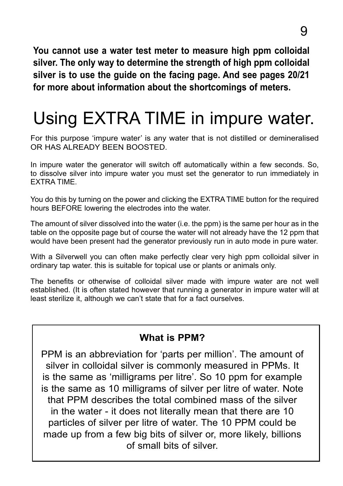**You cannot use a water test meter to measure high ppm colloidal silver. The only way to determine the strength of high ppm colloidal silver is to use the guide on the facing page. And see pages 20/21 for more about information about the shortcomings of meters.**

# Using EXTRA TIME in impure water.

For this purpose 'impure water' is any water that is not distilled or demineralised OR HAS ALREADY BEEN BOOSTED.

In impure water the generator will switch off automatically within a few seconds. So, to dissolve silver into impure water you must set the generator to run immediately in EXTRA TIME.

You do this by turning on the power and clicking the EXTRA TIME button for the required hours BEFORE lowering the electrodes into the water.

The amount of silver dissolved into the water (i.e. the ppm) is the same per hour as in the table on the opposite page but of course the water will not already have the 12 ppm that would have been present had the generator previously run in auto mode in pure water.

With a Silverwell you can often make perfectly clear very high ppm colloidal silver in ordinary tap water. this is suitable for topical use or plants or animals only.

The benefits or otherwise of colloidal silver made with impure water are not well established. (It is often stated however that running a generator in impure water will at least sterilize it, although we can't state that for a fact ourselves.

### **What is PPM?**

PPM is an abbreviation for 'parts per million'. The amount of silver in colloidal silver is commonly measured in PPMs. It is the same as 'milligrams per litre'. So 10 ppm for example is the same as 10 milligrams of silver per litre of water. Note that PPM describes the total combined mass of the silver in the water - it does not literally mean that there are 10 particles of silver per litre of water. The 10 PPM could be made up from a few big bits of silver or, more likely, billions of small bits of silver.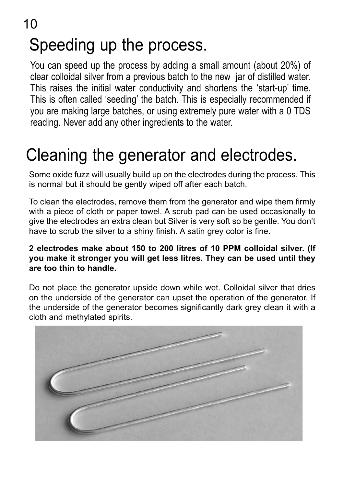# Speeding up the process.

You can speed up the process by adding a small amount (about 20%) of clear colloidal silver from a previous batch to the new jar of distilled water. This raises the initial water conductivity and shortens the 'start-up' time. This is often called 'seeding' the batch. This is especially recommended if you are making large batches, or using extremely pure water with a 0 TDS reading. Never add any other ingredients to the water.

## Cleaning the generator and electrodes.

Some oxide fuzz will usually build up on the electrodes during the process. This is normal but it should be gently wiped off after each batch.

To clean the electrodes, remove them from the generator and wipe them firmly with a piece of cloth or paper towel. A scrub pad can be used occasionally to give the electrodes an extra clean but Silver is very soft so be gentle. You don't have to scrub the silver to a shiny finish. A satin grey color is fine.

### **2 electrodes make about 150 to 200 litres of 10 PPM colloidal silver. (If you make it stronger you will get less litres. They can be used until they are too thin to handle.**

Do not place the generator upside down while wet. Colloidal silver that dries on the underside of the generator can upset the operation of the generator. If the underside of the generator becomes significantly dark grey clean it with a cloth and methylated spirits.

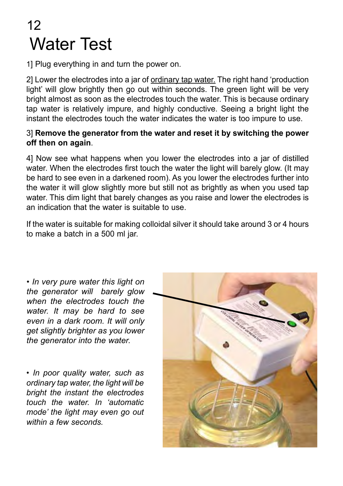## Water Test 12

1] Plug everything in and turn the power on.

2] Lower the electrodes into a jar of ordinary tap water. The right hand 'production light' will glow brightly then go out within seconds. The green light will be very bright almost as soon as the electrodes touch the water. This is because ordinary tap water is relatively impure, and highly conductive. Seeing a bright light the instant the electrodes touch the water indicates the water is too impure to use.

#### 3] **Remove the generator from the water and reset it by switching the power off then on again**.

4] Now see what happens when you lower the electrodes into a jar of distilled water. When the electrodes first touch the water the light will barely glow. (It may be hard to see even in a darkened room). As you lower the electrodes further into the water it will glow slightly more but still not as brightly as when you used tap water. This dim light that barely changes as you raise and lower the electrodes is an indication that the water is suitable to use.

If the water is suitable for making colloidal silver it should take around 3 or 4 hours to make a batch in a 500 ml jar.

*• In very pure water this light on the generator will barely glow when the electrodes touch the water. It may be hard to see even in a dark room. It will only get slightly brighter as you lower the generator into the water.*

*• In poor quality water, such as ordinary tap water, the light will be bright the instant the electrodes touch the water. In 'automatic mode' the light may even go out within a few seconds.*